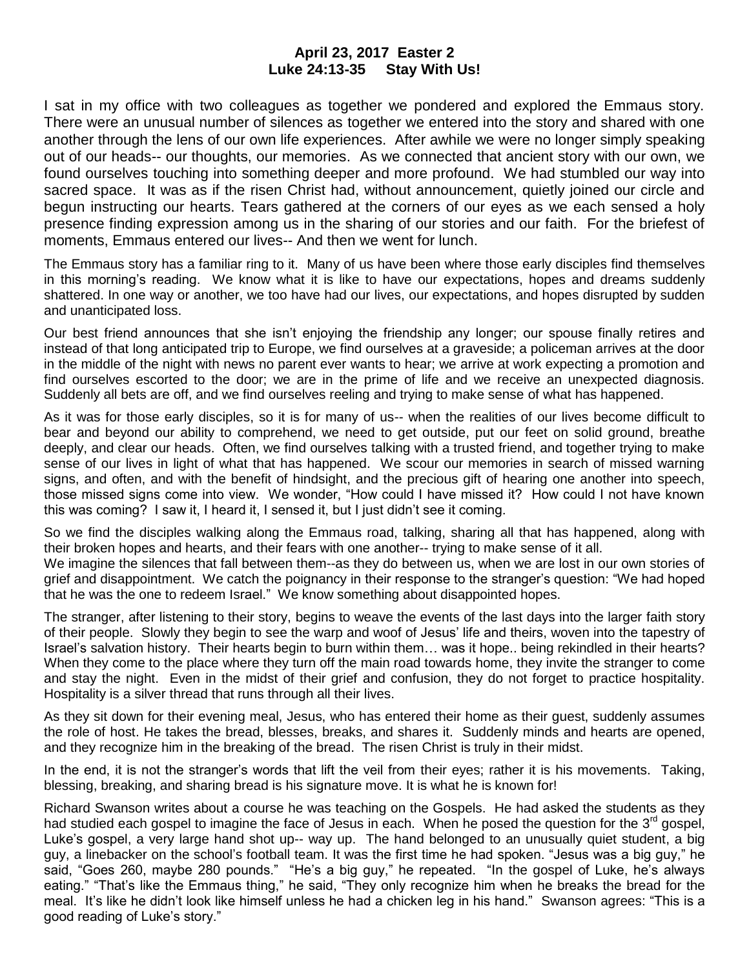## **April 23, 2017 Easter 2 Luke 24:13-35 Stay With Us!**

I sat in my office with two colleagues as together we pondered and explored the Emmaus story. There were an unusual number of silences as together we entered into the story and shared with one another through the lens of our own life experiences. After awhile we were no longer simply speaking out of our heads-- our thoughts, our memories. As we connected that ancient story with our own, we found ourselves touching into something deeper and more profound. We had stumbled our way into sacred space. It was as if the risen Christ had, without announcement, quietly joined our circle and begun instructing our hearts. Tears gathered at the corners of our eyes as we each sensed a holy presence finding expression among us in the sharing of our stories and our faith. For the briefest of moments, Emmaus entered our lives-- And then we went for lunch.

The Emmaus story has a familiar ring to it. Many of us have been where those early disciples find themselves in this morning's reading. We know what it is like to have our expectations, hopes and dreams suddenly shattered. In one way or another, we too have had our lives, our expectations, and hopes disrupted by sudden and unanticipated loss.

Our best friend announces that she isn't enjoying the friendship any longer; our spouse finally retires and instead of that long anticipated trip to Europe, we find ourselves at a graveside; a policeman arrives at the door in the middle of the night with news no parent ever wants to hear; we arrive at work expecting a promotion and find ourselves escorted to the door; we are in the prime of life and we receive an unexpected diagnosis. Suddenly all bets are off, and we find ourselves reeling and trying to make sense of what has happened.

As it was for those early disciples, so it is for many of us-- when the realities of our lives become difficult to bear and beyond our ability to comprehend, we need to get outside, put our feet on solid ground, breathe deeply, and clear our heads. Often, we find ourselves talking with a trusted friend, and together trying to make sense of our lives in light of what that has happened. We scour our memories in search of missed warning signs, and often, and with the benefit of hindsight, and the precious gift of hearing one another into speech, those missed signs come into view. We wonder, "How could I have missed it? How could I not have known this was coming? I saw it, I heard it, I sensed it, but I just didn't see it coming.

So we find the disciples walking along the Emmaus road, talking, sharing all that has happened, along with their broken hopes and hearts, and their fears with one another-- trying to make sense of it all.

We imagine the silences that fall between them--as they do between us, when we are lost in our own stories of grief and disappointment. We catch the poignancy in their response to the stranger's question: "We had hoped that he was the one to redeem Israel." We know something about disappointed hopes.

The stranger, after listening to their story, begins to weave the events of the last days into the larger faith story of their people. Slowly they begin to see the warp and woof of Jesus' life and theirs, woven into the tapestry of Israel's salvation history. Their hearts begin to burn within them… was it hope.. being rekindled in their hearts? When they come to the place where they turn off the main road towards home, they invite the stranger to come and stay the night. Even in the midst of their grief and confusion, they do not forget to practice hospitality. Hospitality is a silver thread that runs through all their lives.

As they sit down for their evening meal, Jesus, who has entered their home as their guest, suddenly assumes the role of host. He takes the bread, blesses, breaks, and shares it. Suddenly minds and hearts are opened, and they recognize him in the breaking of the bread. The risen Christ is truly in their midst.

In the end, it is not the stranger's words that lift the veil from their eyes; rather it is his movements. Taking, blessing, breaking, and sharing bread is his signature move. It is what he is known for!

Richard Swanson writes about a course he was teaching on the Gospels. He had asked the students as they had studied each gospel to imagine the face of Jesus in each. When he posed the question for the  $3^{rd}$  gospel, Luke's gospel, a very large hand shot up-- way up. The hand belonged to an unusually quiet student, a big guy, a linebacker on the school's football team. It was the first time he had spoken. "Jesus was a big guy," he said, "Goes 260, maybe 280 pounds." "He's a big guy," he repeated. "In the gospel of Luke, he's always eating." "That's like the Emmaus thing," he said, "They only recognize him when he breaks the bread for the meal. It's like he didn't look like himself unless he had a chicken leg in his hand." Swanson agrees: "This is a good reading of Luke's story."